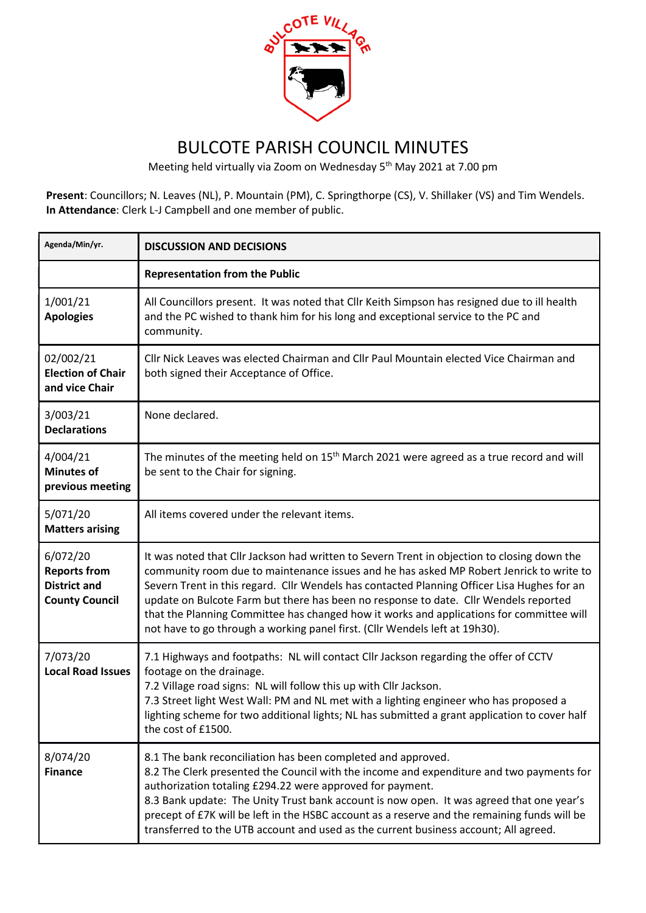

## BULCOTE PARISH COUNCIL MINUTES

Meeting held virtually via Zoom on Wednesday 5th May 2021 at 7.00 pm

Present: Councillors; N. Leaves (NL), P. Mountain (PM), C. Springthorpe (CS), V. Shillaker (VS) and Tim Wendels. In Attendance: Clerk L-J Campbell and one member of public.

| Agenda/Min/yr.                                                                  | <b>DISCUSSION AND DECISIONS</b>                                                                                                                                                                                                                                                                                                                                                                                                                                                                                                                          |
|---------------------------------------------------------------------------------|----------------------------------------------------------------------------------------------------------------------------------------------------------------------------------------------------------------------------------------------------------------------------------------------------------------------------------------------------------------------------------------------------------------------------------------------------------------------------------------------------------------------------------------------------------|
|                                                                                 | <b>Representation from the Public</b>                                                                                                                                                                                                                                                                                                                                                                                                                                                                                                                    |
| 1/001/21<br><b>Apologies</b>                                                    | All Councillors present. It was noted that Cllr Keith Simpson has resigned due to ill health<br>and the PC wished to thank him for his long and exceptional service to the PC and<br>community.                                                                                                                                                                                                                                                                                                                                                          |
| 02/002/21<br><b>Election of Chair</b><br>and vice Chair                         | Cllr Nick Leaves was elected Chairman and Cllr Paul Mountain elected Vice Chairman and<br>both signed their Acceptance of Office.                                                                                                                                                                                                                                                                                                                                                                                                                        |
| 3/003/21<br><b>Declarations</b>                                                 | None declared.                                                                                                                                                                                                                                                                                                                                                                                                                                                                                                                                           |
| 4/004/21<br><b>Minutes of</b><br>previous meeting                               | The minutes of the meeting held on 15 <sup>th</sup> March 2021 were agreed as a true record and will<br>be sent to the Chair for signing.                                                                                                                                                                                                                                                                                                                                                                                                                |
| 5/071/20<br><b>Matters arising</b>                                              | All items covered under the relevant items.                                                                                                                                                                                                                                                                                                                                                                                                                                                                                                              |
| 6/072/20<br><b>Reports from</b><br><b>District and</b><br><b>County Council</b> | It was noted that Cllr Jackson had written to Severn Trent in objection to closing down the<br>community room due to maintenance issues and he has asked MP Robert Jenrick to write to<br>Severn Trent in this regard. Cllr Wendels has contacted Planning Officer Lisa Hughes for an<br>update on Bulcote Farm but there has been no response to date. Cllr Wendels reported<br>that the Planning Committee has changed how it works and applications for committee will<br>not have to go through a working panel first. (Cllr Wendels left at 19h30). |
| 7/073/20<br><b>Local Road Issues</b>                                            | 7.1 Highways and footpaths: NL will contact Cllr Jackson regarding the offer of CCTV<br>footage on the drainage.<br>7.2 Village road signs: NL will follow this up with Cllr Jackson.<br>7.3 Street light West Wall: PM and NL met with a lighting engineer who has proposed a<br>lighting scheme for two additional lights; NL has submitted a grant application to cover half<br>the cost of £1500.                                                                                                                                                    |
| 8/074/20<br><b>Finance</b>                                                      | 8.1 The bank reconciliation has been completed and approved.<br>8.2 The Clerk presented the Council with the income and expenditure and two payments for<br>authorization totaling £294.22 were approved for payment.<br>8.3 Bank update: The Unity Trust bank account is now open. It was agreed that one year's<br>precept of £7K will be left in the HSBC account as a reserve and the remaining funds will be<br>transferred to the UTB account and used as the current business account; All agreed.                                                |